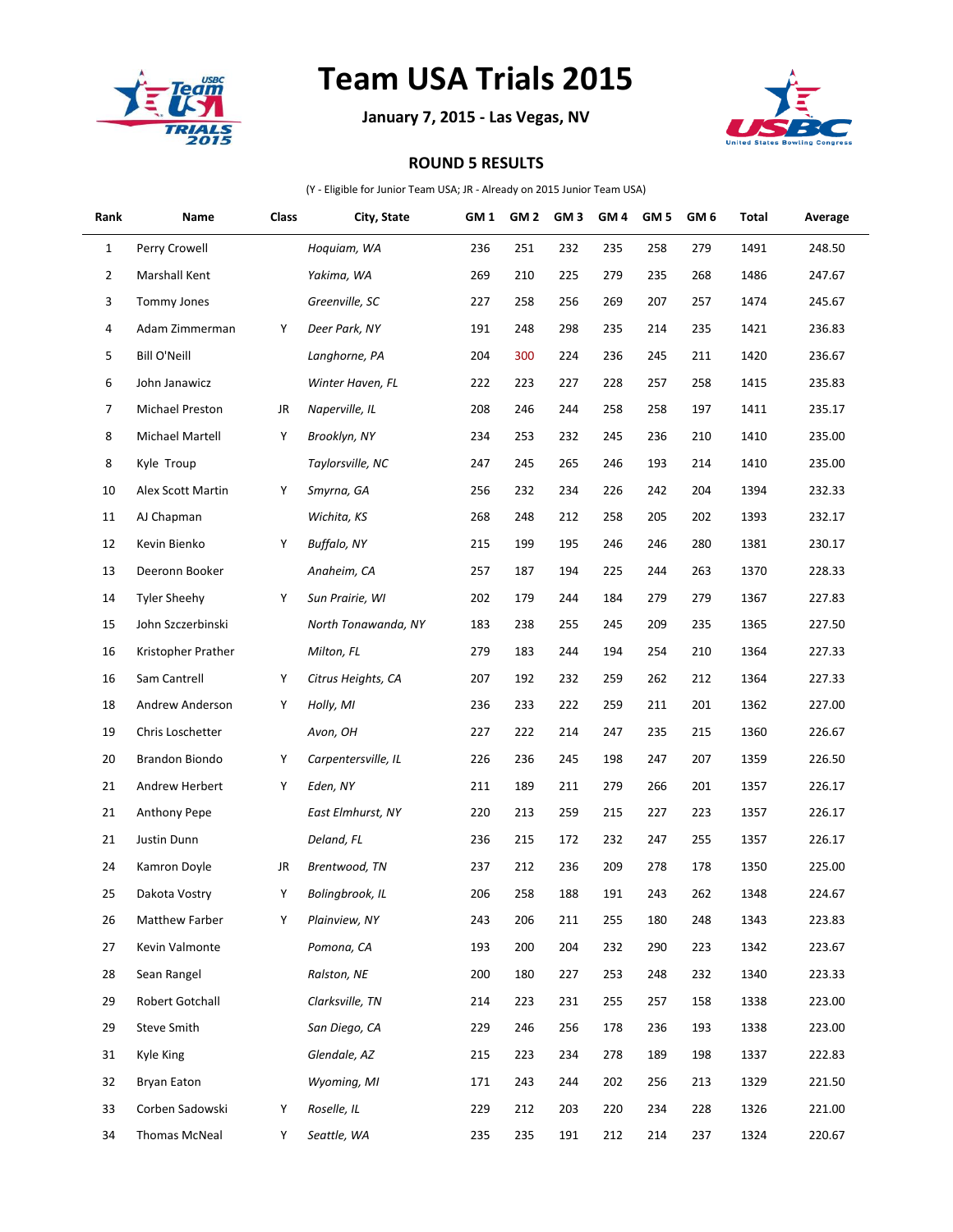

## **Team USA Trials 2015**

**January 7, 2015 - Las Vegas, NV**



## **ROUND 5 RESULTS**

(Y - Eligible for Junior Team USA; JR - Already on 2015 Junior Team USA)

| Rank           | Name                | Class | City, State         | GM <sub>1</sub> | GM <sub>2</sub> | GM <sub>3</sub> | GM <sub>4</sub> | GM <sub>5</sub> | GM <sub>6</sub> | Total | Average |
|----------------|---------------------|-------|---------------------|-----------------|-----------------|-----------------|-----------------|-----------------|-----------------|-------|---------|
| $\mathbf{1}$   | Perry Crowell       |       | Hoquiam, WA         | 236             | 251             | 232             | 235             | 258             | 279             | 1491  | 248.50  |
| 2              | Marshall Kent       |       | Yakima, WA          | 269             | 210             | 225             | 279             | 235             | 268             | 1486  | 247.67  |
| 3              | Tommy Jones         |       | Greenville, SC      | 227             | 258             | 256             | 269             | 207             | 257             | 1474  | 245.67  |
| 4              | Adam Zimmerman      | Υ     | Deer Park, NY       | 191             | 248             | 298             | 235             | 214             | 235             | 1421  | 236.83  |
| 5              | <b>Bill O'Neill</b> |       | Langhorne, PA       | 204             | 300             | 224             | 236             | 245             | 211             | 1420  | 236.67  |
| 6              | John Janawicz       |       | Winter Haven, FL    | 222             | 223             | 227             | 228             | 257             | 258             | 1415  | 235.83  |
| $\overline{7}$ | Michael Preston     | JR    | Naperville, IL      | 208             | 246             | 244             | 258             | 258             | 197             | 1411  | 235.17  |
| 8              | Michael Martell     | Υ     | Brooklyn, NY        | 234             | 253             | 232             | 245             | 236             | 210             | 1410  | 235.00  |
| 8              | Kyle Troup          |       | Taylorsville, NC    | 247             | 245             | 265             | 246             | 193             | 214             | 1410  | 235.00  |
| 10             | Alex Scott Martin   | Υ     | Smyrna, GA          | 256             | 232             | 234             | 226             | 242             | 204             | 1394  | 232.33  |
| 11             | AJ Chapman          |       | Wichita, KS         | 268             | 248             | 212             | 258             | 205             | 202             | 1393  | 232.17  |
| 12             | Kevin Bienko        | Υ     | Buffalo, NY         | 215             | 199             | 195             | 246             | 246             | 280             | 1381  | 230.17  |
| 13             | Deeronn Booker      |       | Anaheim, CA         | 257             | 187             | 194             | 225             | 244             | 263             | 1370  | 228.33  |
| 14             | <b>Tyler Sheehy</b> | Υ     | Sun Prairie, WI     | 202             | 179             | 244             | 184             | 279             | 279             | 1367  | 227.83  |
| 15             | John Szczerbinski   |       | North Tonawanda, NY | 183             | 238             | 255             | 245             | 209             | 235             | 1365  | 227.50  |
| 16             | Kristopher Prather  |       | Milton, FL          | 279             | 183             | 244             | 194             | 254             | 210             | 1364  | 227.33  |
| 16             | Sam Cantrell        | Υ     | Citrus Heights, CA  | 207             | 192             | 232             | 259             | 262             | 212             | 1364  | 227.33  |
| 18             | Andrew Anderson     | Υ     | Holly, MI           | 236             | 233             | 222             | 259             | 211             | 201             | 1362  | 227.00  |
| 19             | Chris Loschetter    |       | Avon, OH            | 227             | 222             | 214             | 247             | 235             | 215             | 1360  | 226.67  |
| 20             | Brandon Biondo      | Υ     | Carpentersville, IL | 226             | 236             | 245             | 198             | 247             | 207             | 1359  | 226.50  |
| 21             | Andrew Herbert      | Υ     | Eden, NY            | 211             | 189             | 211             | 279             | 266             | 201             | 1357  | 226.17  |
| 21             | Anthony Pepe        |       | East Elmhurst, NY   | 220             | 213             | 259             | 215             | 227             | 223             | 1357  | 226.17  |
| 21             | Justin Dunn         |       | Deland, FL          | 236             | 215             | 172             | 232             | 247             | 255             | 1357  | 226.17  |
| 24             | Kamron Doyle        | JR    | Brentwood, TN       | 237             | 212             | 236             | 209             | 278             | 178             | 1350  | 225.00  |
| 25             | Dakota Vostry       | Υ     | Bolingbrook, IL     | 206             | 258             | 188             | 191             | 243             | 262             | 1348  | 224.67  |
| 26             | Matthew Farber      | Υ     | Plainview, NY       | 243             | 206             | 211             | 255             | 180             | 248             | 1343  | 223.83  |
| 27             | Kevin Valmonte      |       | Pomona, CA          | 193             | 200             | 204             | 232             | 290             | 223             | 1342  | 223.67  |
| 28             | Sean Rangel         |       | Ralston, NE         | 200             | 180             | 227             | 253             | 248             | 232             | 1340  | 223.33  |
| 29             | Robert Gotchall     |       | Clarksville, TN     | 214             | 223             | 231             | 255             | 257             | 158             | 1338  | 223.00  |
| 29             | <b>Steve Smith</b>  |       | San Diego, CA       | 229             | 246             | 256             | 178             | 236             | 193             | 1338  | 223.00  |
| 31             | Kyle King           |       | Glendale, AZ        | 215             | 223             | 234             | 278             | 189             | 198             | 1337  | 222.83  |
| 32             | Bryan Eaton         |       | Wyoming, MI         | 171             | 243             | 244             | 202             | 256             | 213             | 1329  | 221.50  |
| 33             | Corben Sadowski     | Υ     | Roselle, IL         | 229             | 212             | 203             | 220             | 234             | 228             | 1326  | 221.00  |
| 34             | Thomas McNeal       | Y     | Seattle, WA         | 235             | 235             | 191             | 212             | 214             | 237             | 1324  | 220.67  |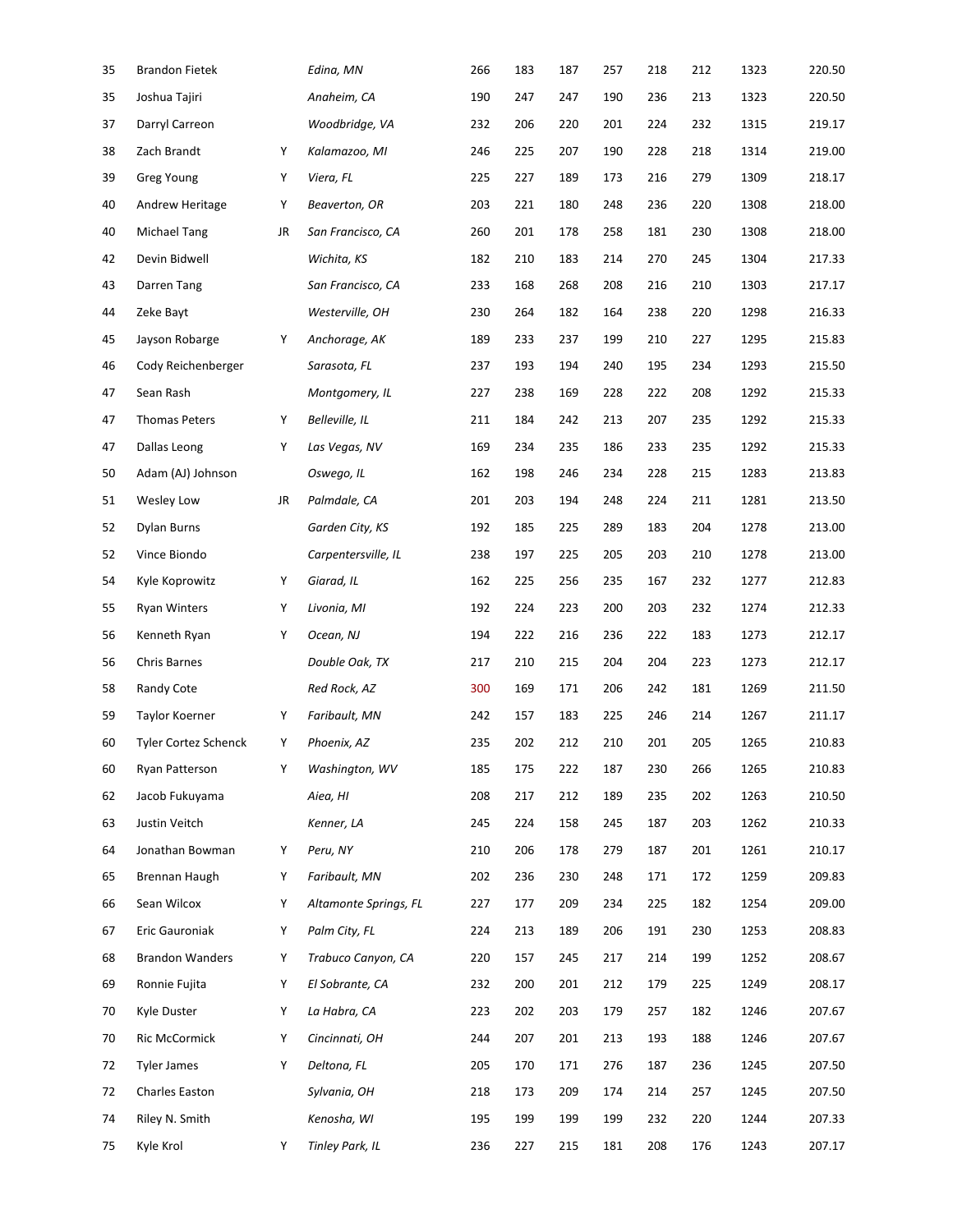| 35 | <b>Brandon Fietek</b>  |    | Edina, MN             | 266 | 183 | 187 | 257 | 218 | 212 | 1323 | 220.50 |
|----|------------------------|----|-----------------------|-----|-----|-----|-----|-----|-----|------|--------|
| 35 | Joshua Tajiri          |    | Anaheim, CA           | 190 | 247 | 247 | 190 | 236 | 213 | 1323 | 220.50 |
| 37 | Darryl Carreon         |    | Woodbridge, VA        | 232 | 206 | 220 | 201 | 224 | 232 | 1315 | 219.17 |
| 38 | Zach Brandt            | Υ  | Kalamazoo, MI         | 246 | 225 | 207 | 190 | 228 | 218 | 1314 | 219.00 |
| 39 | Greg Young             | Υ  | Viera, FL             | 225 | 227 | 189 | 173 | 216 | 279 | 1309 | 218.17 |
| 40 | Andrew Heritage        | Υ  | Beaverton, OR         | 203 | 221 | 180 | 248 | 236 | 220 | 1308 | 218.00 |
| 40 | <b>Michael Tang</b>    | JR | San Francisco, CA     | 260 | 201 | 178 | 258 | 181 | 230 | 1308 | 218.00 |
| 42 | Devin Bidwell          |    | Wichita, KS           | 182 | 210 | 183 | 214 | 270 | 245 | 1304 | 217.33 |
| 43 | Darren Tang            |    | San Francisco, CA     | 233 | 168 | 268 | 208 | 216 | 210 | 1303 | 217.17 |
| 44 | Zeke Bayt              |    | Westerville, OH       | 230 | 264 | 182 | 164 | 238 | 220 | 1298 | 216.33 |
| 45 | Jayson Robarge         | Υ  | Anchorage, AK         | 189 | 233 | 237 | 199 | 210 | 227 | 1295 | 215.83 |
| 46 | Cody Reichenberger     |    | Sarasota, FL          | 237 | 193 | 194 | 240 | 195 | 234 | 1293 | 215.50 |
| 47 | Sean Rash              |    | Montgomery, IL        | 227 | 238 | 169 | 228 | 222 | 208 | 1292 | 215.33 |
| 47 | <b>Thomas Peters</b>   | Υ  | Belleville, IL        | 211 | 184 | 242 | 213 | 207 | 235 | 1292 | 215.33 |
| 47 | Dallas Leong           | Υ  | Las Vegas, NV         | 169 | 234 | 235 | 186 | 233 | 235 | 1292 | 215.33 |
| 50 | Adam (AJ) Johnson      |    | Oswego, IL            | 162 | 198 | 246 | 234 | 228 | 215 | 1283 | 213.83 |
| 51 | Wesley Low             | JR | Palmdale, CA          | 201 | 203 | 194 | 248 | 224 | 211 | 1281 | 213.50 |
| 52 | Dylan Burns            |    | Garden City, KS       | 192 | 185 | 225 | 289 | 183 | 204 | 1278 | 213.00 |
| 52 | Vince Biondo           |    | Carpentersville, IL   | 238 | 197 | 225 | 205 | 203 | 210 | 1278 | 213.00 |
| 54 | Kyle Koprowitz         | Υ  | Giarad, IL            | 162 | 225 | 256 | 235 | 167 | 232 | 1277 | 212.83 |
| 55 | <b>Ryan Winters</b>    | Υ  | Livonia, MI           | 192 | 224 | 223 | 200 | 203 | 232 | 1274 | 212.33 |
| 56 | Kenneth Ryan           | Υ  | Ocean, NJ             | 194 | 222 | 216 | 236 | 222 | 183 | 1273 | 212.17 |
| 56 | Chris Barnes           |    | Double Oak, TX        | 217 | 210 | 215 | 204 | 204 | 223 | 1273 | 212.17 |
| 58 | Randy Cote             |    | Red Rock, AZ          | 300 | 169 | 171 | 206 | 242 | 181 | 1269 | 211.50 |
| 59 | Taylor Koerner         | Υ  | Faribault, MN         | 242 | 157 | 183 | 225 | 246 | 214 | 1267 | 211.17 |
| 60 | Tyler Cortez Schenck   | Υ  | Phoenix, AZ           | 235 | 202 | 212 | 210 | 201 | 205 | 1265 | 210.83 |
| 60 | Ryan Patterson         | Υ  | Washington, WV        | 185 | 175 | 222 | 187 | 230 | 266 | 1265 | 210.83 |
| 62 | Jacob Fukuyama         |    | Aiea, HI              | 208 | 217 | 212 | 189 | 235 | 202 | 1263 | 210.50 |
| 63 | Justin Veitch          |    | Kenner, LA            | 245 | 224 | 158 | 245 | 187 | 203 | 1262 | 210.33 |
| 64 | Jonathan Bowman        | Υ  | Peru, NY              | 210 | 206 | 178 | 279 | 187 | 201 | 1261 | 210.17 |
| 65 | Brennan Haugh          | Υ  | Faribault, MN         | 202 | 236 | 230 | 248 | 171 | 172 | 1259 | 209.83 |
| 66 | Sean Wilcox            | Υ  | Altamonte Springs, FL | 227 | 177 | 209 | 234 | 225 | 182 | 1254 | 209.00 |
| 67 | Eric Gauroniak         | Υ  | Palm City, FL         | 224 | 213 | 189 | 206 | 191 | 230 | 1253 | 208.83 |
| 68 | <b>Brandon Wanders</b> | Υ  | Trabuco Canyon, CA    | 220 | 157 | 245 | 217 | 214 | 199 | 1252 | 208.67 |
| 69 | Ronnie Fujita          | Υ  | El Sobrante, CA       | 232 | 200 | 201 | 212 | 179 | 225 | 1249 | 208.17 |
| 70 | Kyle Duster            | Υ  | La Habra, CA          | 223 | 202 | 203 | 179 | 257 | 182 | 1246 | 207.67 |
| 70 | <b>Ric McCormick</b>   | Υ  | Cincinnati, OH        | 244 | 207 | 201 | 213 | 193 | 188 | 1246 | 207.67 |
| 72 | <b>Tyler James</b>     | Υ  | Deltona, FL           | 205 | 170 | 171 | 276 | 187 | 236 | 1245 | 207.50 |
| 72 | Charles Easton         |    | Sylvania, OH          | 218 | 173 | 209 | 174 | 214 | 257 | 1245 | 207.50 |
| 74 | Riley N. Smith         |    | Kenosha, WI           | 195 | 199 | 199 | 199 | 232 | 220 | 1244 | 207.33 |
| 75 | Kyle Krol              | Y  | Tinley Park, IL       | 236 | 227 | 215 | 181 | 208 | 176 | 1243 | 207.17 |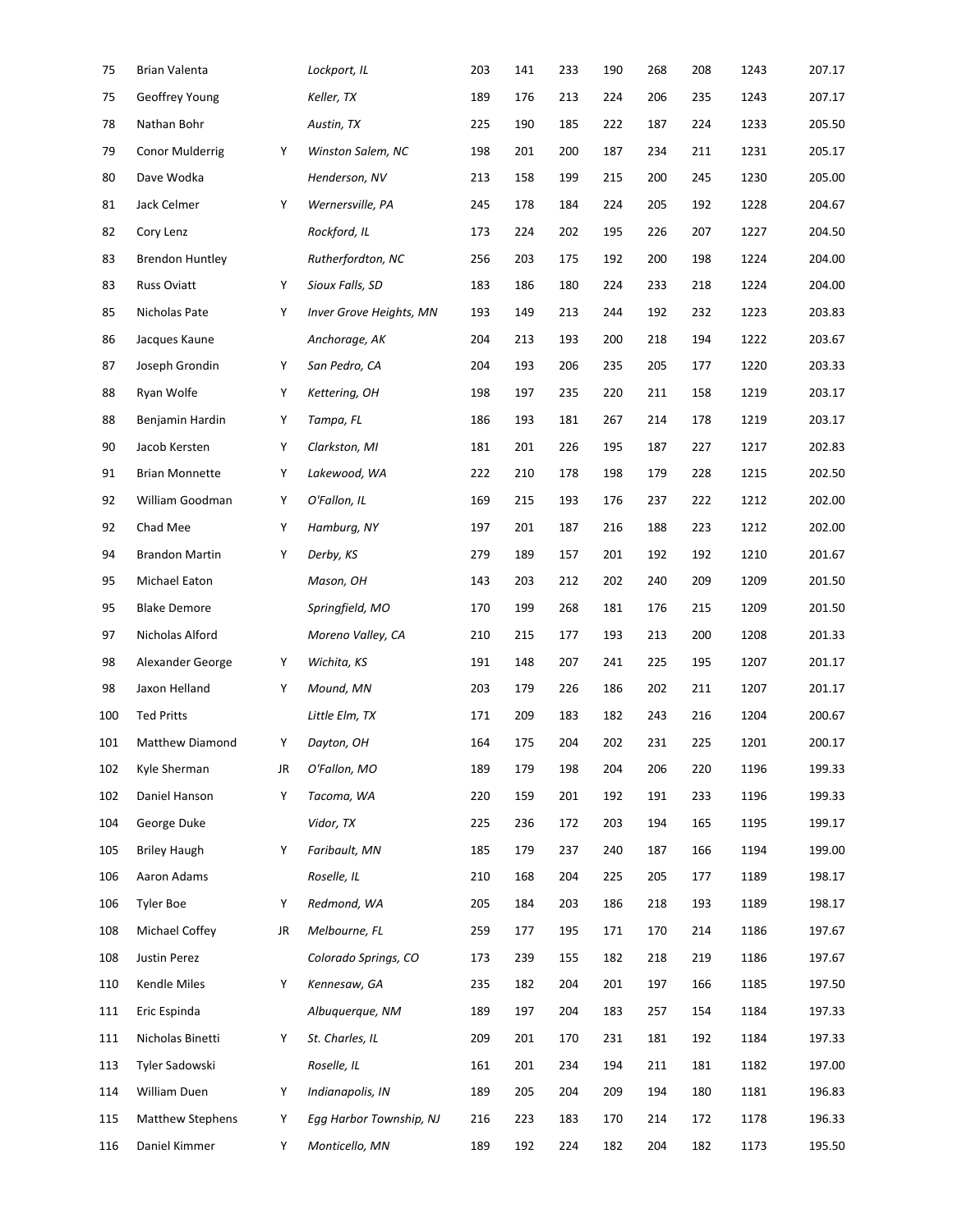| 75  | <b>Brian Valenta</b>   |    | Lockport, IL            | 203 | 141 | 233 | 190 | 268 | 208 | 1243 | 207.17 |
|-----|------------------------|----|-------------------------|-----|-----|-----|-----|-----|-----|------|--------|
| 75  | Geoffrey Young         |    | Keller, TX              | 189 | 176 | 213 | 224 | 206 | 235 | 1243 | 207.17 |
| 78  | Nathan Bohr            |    | Austin, TX              | 225 | 190 | 185 | 222 | 187 | 224 | 1233 | 205.50 |
| 79  | <b>Conor Mulderrig</b> | Υ  | Winston Salem, NC       | 198 | 201 | 200 | 187 | 234 | 211 | 1231 | 205.17 |
| 80  | Dave Wodka             |    | Henderson, NV           | 213 | 158 | 199 | 215 | 200 | 245 | 1230 | 205.00 |
| 81  | Jack Celmer            | Y  | Wernersville, PA        | 245 | 178 | 184 | 224 | 205 | 192 | 1228 | 204.67 |
| 82  | Cory Lenz              |    | Rockford, IL            | 173 | 224 | 202 | 195 | 226 | 207 | 1227 | 204.50 |
| 83  | <b>Brendon Huntley</b> |    | Rutherfordton, NC       | 256 | 203 | 175 | 192 | 200 | 198 | 1224 | 204.00 |
| 83  | <b>Russ Oviatt</b>     | Υ  | Sioux Falls, SD         | 183 | 186 | 180 | 224 | 233 | 218 | 1224 | 204.00 |
| 85  | Nicholas Pate          | Υ  | Inver Grove Heights, MN | 193 | 149 | 213 | 244 | 192 | 232 | 1223 | 203.83 |
| 86  | Jacques Kaune          |    | Anchorage, AK           | 204 | 213 | 193 | 200 | 218 | 194 | 1222 | 203.67 |
| 87  | Joseph Grondin         | Υ  | San Pedro, CA           | 204 | 193 | 206 | 235 | 205 | 177 | 1220 | 203.33 |
| 88  | Ryan Wolfe             | Υ  | Kettering, OH           | 198 | 197 | 235 | 220 | 211 | 158 | 1219 | 203.17 |
| 88  | Benjamin Hardin        | Υ  | Tampa, FL               | 186 | 193 | 181 | 267 | 214 | 178 | 1219 | 203.17 |
| 90  | Jacob Kersten          | Υ  | Clarkston, MI           | 181 | 201 | 226 | 195 | 187 | 227 | 1217 | 202.83 |
| 91  | <b>Brian Monnette</b>  | Υ  | Lakewood, WA            | 222 | 210 | 178 | 198 | 179 | 228 | 1215 | 202.50 |
| 92  | William Goodman        | Υ  | O'Fallon, IL            | 169 | 215 | 193 | 176 | 237 | 222 | 1212 | 202.00 |
| 92  | Chad Mee               | Υ  | Hamburg, NY             | 197 | 201 | 187 | 216 | 188 | 223 | 1212 | 202.00 |
| 94  | <b>Brandon Martin</b>  | Υ  | Derby, KS               | 279 | 189 | 157 | 201 | 192 | 192 | 1210 | 201.67 |
| 95  | Michael Eaton          |    | Mason, OH               | 143 | 203 | 212 | 202 | 240 | 209 | 1209 | 201.50 |
| 95  | <b>Blake Demore</b>    |    | Springfield, MO         | 170 | 199 | 268 | 181 | 176 | 215 | 1209 | 201.50 |
| 97  | Nicholas Alford        |    | Moreno Valley, CA       | 210 | 215 | 177 | 193 | 213 | 200 | 1208 | 201.33 |
| 98  | Alexander George       | Υ  | Wichita, KS             | 191 | 148 | 207 | 241 | 225 | 195 | 1207 | 201.17 |
| 98  | Jaxon Helland          | Υ  | Mound, MN               | 203 | 179 | 226 | 186 | 202 | 211 | 1207 | 201.17 |
| 100 | <b>Ted Pritts</b>      |    | Little Elm, TX          | 171 | 209 | 183 | 182 | 243 | 216 | 1204 | 200.67 |
| 101 | Matthew Diamond        | Υ  | Dayton, OH              | 164 | 175 | 204 | 202 | 231 | 225 | 1201 | 200.17 |
| 102 | Kyle Sherman           | JR | O'Fallon, MO            | 189 | 179 | 198 | 204 | 206 | 220 | 1196 | 199.33 |
| 102 | Daniel Hanson          | Υ  | Tacoma, WA              | 220 | 159 | 201 | 192 | 191 | 233 | 1196 | 199.33 |
| 104 | George Duke            |    | Vidor, TX               | 225 | 236 | 172 | 203 | 194 | 165 | 1195 | 199.17 |
| 105 | <b>Briley Haugh</b>    | Υ  | Faribault, MN           | 185 | 179 | 237 | 240 | 187 | 166 | 1194 | 199.00 |
| 106 | Aaron Adams            |    | Roselle, IL             | 210 | 168 | 204 | 225 | 205 | 177 | 1189 | 198.17 |
| 106 | Tyler Boe              | Υ  | Redmond, WA             | 205 | 184 | 203 | 186 | 218 | 193 | 1189 | 198.17 |
| 108 | Michael Coffey         | JR | Melbourne, FL           | 259 | 177 | 195 | 171 | 170 | 214 | 1186 | 197.67 |
| 108 | Justin Perez           |    | Colorado Springs, CO    | 173 | 239 | 155 | 182 | 218 | 219 | 1186 | 197.67 |
| 110 | Kendle Miles           | Υ  | Kennesaw, GA            | 235 | 182 | 204 | 201 | 197 | 166 | 1185 | 197.50 |
| 111 | Eric Espinda           |    | Albuquerque, NM         | 189 | 197 | 204 | 183 | 257 | 154 | 1184 | 197.33 |
| 111 | Nicholas Binetti       | Υ  | St. Charles, IL         | 209 | 201 | 170 | 231 | 181 | 192 | 1184 | 197.33 |
| 113 | Tyler Sadowski         |    | Roselle, IL             | 161 | 201 | 234 | 194 | 211 | 181 | 1182 | 197.00 |
| 114 | William Duen           | Y  | Indianapolis, IN        | 189 | 205 | 204 | 209 | 194 | 180 | 1181 | 196.83 |
| 115 | Matthew Stephens       | Υ  | Egg Harbor Township, NJ | 216 | 223 | 183 | 170 | 214 | 172 | 1178 | 196.33 |
| 116 | Daniel Kimmer          | Y  | Monticello, MN          | 189 | 192 | 224 | 182 | 204 | 182 | 1173 | 195.50 |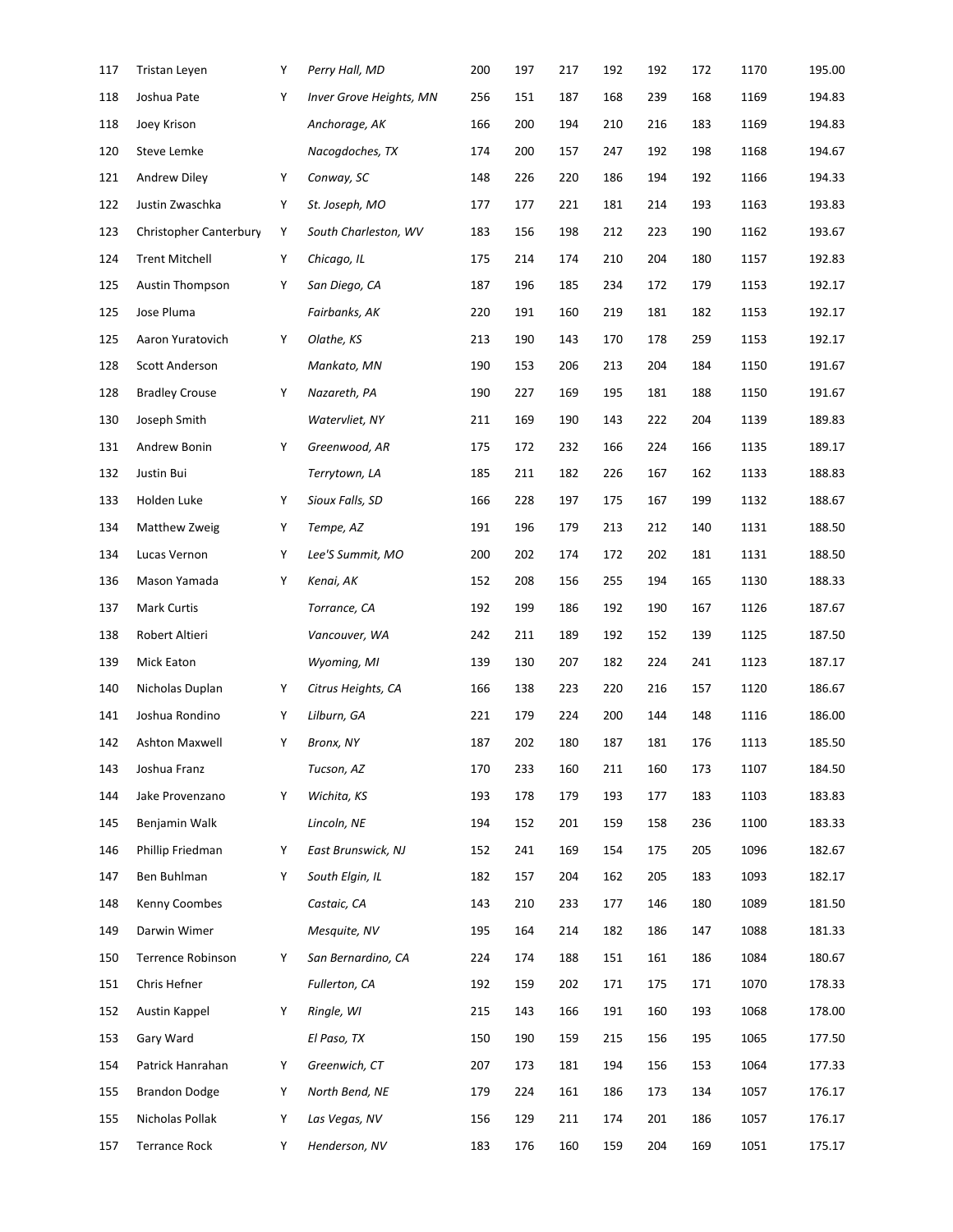| 117 | Tristan Leyen          | Υ | Perry Hall, MD          | 200 | 197 | 217 | 192 | 192 | 172 | 1170 | 195.00 |
|-----|------------------------|---|-------------------------|-----|-----|-----|-----|-----|-----|------|--------|
| 118 | Joshua Pate            | Υ | Inver Grove Heights, MN | 256 | 151 | 187 | 168 | 239 | 168 | 1169 | 194.83 |
| 118 | Joey Krison            |   | Anchorage, AK           | 166 | 200 | 194 | 210 | 216 | 183 | 1169 | 194.83 |
| 120 | Steve Lemke            |   | Nacogdoches, TX         | 174 | 200 | 157 | 247 | 192 | 198 | 1168 | 194.67 |
| 121 | <b>Andrew Diley</b>    | Υ | Conway, SC              | 148 | 226 | 220 | 186 | 194 | 192 | 1166 | 194.33 |
| 122 | Justin Zwaschka        | Υ | St. Joseph, MO          | 177 | 177 | 221 | 181 | 214 | 193 | 1163 | 193.83 |
| 123 | Christopher Canterbury | Υ | South Charleston, WV    | 183 | 156 | 198 | 212 | 223 | 190 | 1162 | 193.67 |
| 124 | <b>Trent Mitchell</b>  | Υ | Chicago, IL             | 175 | 214 | 174 | 210 | 204 | 180 | 1157 | 192.83 |
| 125 | <b>Austin Thompson</b> | Υ | San Diego, CA           | 187 | 196 | 185 | 234 | 172 | 179 | 1153 | 192.17 |
| 125 | Jose Pluma             |   | Fairbanks, AK           | 220 | 191 | 160 | 219 | 181 | 182 | 1153 | 192.17 |
| 125 | Aaron Yuratovich       | Υ | Olathe, KS              | 213 | 190 | 143 | 170 | 178 | 259 | 1153 | 192.17 |
| 128 | Scott Anderson         |   | Mankato, MN             | 190 | 153 | 206 | 213 | 204 | 184 | 1150 | 191.67 |
| 128 | <b>Bradley Crouse</b>  | Υ | Nazareth, PA            | 190 | 227 | 169 | 195 | 181 | 188 | 1150 | 191.67 |
| 130 | Joseph Smith           |   | Watervliet, NY          | 211 | 169 | 190 | 143 | 222 | 204 | 1139 | 189.83 |
| 131 | Andrew Bonin           | Υ | Greenwood, AR           | 175 | 172 | 232 | 166 | 224 | 166 | 1135 | 189.17 |
| 132 | Justin Bui             |   | Terrytown, LA           | 185 | 211 | 182 | 226 | 167 | 162 | 1133 | 188.83 |
| 133 | Holden Luke            | Υ | Sioux Falls, SD         | 166 | 228 | 197 | 175 | 167 | 199 | 1132 | 188.67 |
| 134 | Matthew Zweig          | Υ | Tempe, AZ               | 191 | 196 | 179 | 213 | 212 | 140 | 1131 | 188.50 |
| 134 | Lucas Vernon           | Υ | Lee'S Summit, MO        | 200 | 202 | 174 | 172 | 202 | 181 | 1131 | 188.50 |
| 136 | Mason Yamada           | Υ | Kenai, AK               | 152 | 208 | 156 | 255 | 194 | 165 | 1130 | 188.33 |
| 137 | <b>Mark Curtis</b>     |   | Torrance, CA            | 192 | 199 | 186 | 192 | 190 | 167 | 1126 | 187.67 |
| 138 | Robert Altieri         |   | Vancouver, WA           | 242 | 211 | 189 | 192 | 152 | 139 | 1125 | 187.50 |
| 139 | Mick Eaton             |   | Wyoming, MI             | 139 | 130 | 207 | 182 | 224 | 241 | 1123 | 187.17 |
| 140 | Nicholas Duplan        | Υ | Citrus Heights, CA      | 166 | 138 | 223 | 220 | 216 | 157 | 1120 | 186.67 |
| 141 | Joshua Rondino         | Υ | Lilburn, GA             | 221 | 179 | 224 | 200 | 144 | 148 | 1116 | 186.00 |
| 142 | <b>Ashton Maxwell</b>  | Υ | Bronx, NY               | 187 | 202 | 180 | 187 | 181 | 176 | 1113 | 185.50 |
| 143 | Joshua Franz           |   | Tucson, AZ              | 170 | 233 | 160 | 211 | 160 | 173 | 1107 | 184.50 |
| 144 | Jake Provenzano        | Υ | Wichita, KS             | 193 | 178 | 179 | 193 | 177 | 183 | 1103 | 183.83 |
| 145 | Benjamin Walk          |   | Lincoln, NE             | 194 | 152 | 201 | 159 | 158 | 236 | 1100 | 183.33 |
| 146 | Phillip Friedman       | Υ | East Brunswick, NJ      | 152 | 241 | 169 | 154 | 175 | 205 | 1096 | 182.67 |
| 147 | Ben Buhlman            | Υ | South Elgin, IL         | 182 | 157 | 204 | 162 | 205 | 183 | 1093 | 182.17 |
| 148 | Kenny Coombes          |   | Castaic, CA             | 143 | 210 | 233 | 177 | 146 | 180 | 1089 | 181.50 |
| 149 | Darwin Wimer           |   | Mesquite, NV            | 195 | 164 | 214 | 182 | 186 | 147 | 1088 | 181.33 |
| 150 | Terrence Robinson      | Υ | San Bernardino, CA      | 224 | 174 | 188 | 151 | 161 | 186 | 1084 | 180.67 |
| 151 | Chris Hefner           |   | Fullerton, CA           | 192 | 159 | 202 | 171 | 175 | 171 | 1070 | 178.33 |
| 152 | Austin Kappel          | Υ | Ringle, WI              | 215 | 143 | 166 | 191 | 160 | 193 | 1068 | 178.00 |
| 153 | Gary Ward              |   | El Paso, TX             | 150 | 190 | 159 | 215 | 156 | 195 | 1065 | 177.50 |
| 154 | Patrick Hanrahan       | Υ | Greenwich, CT           | 207 | 173 | 181 | 194 | 156 | 153 | 1064 | 177.33 |
| 155 | <b>Brandon Dodge</b>   | Υ | North Bend, NE          | 179 | 224 | 161 | 186 | 173 | 134 | 1057 | 176.17 |
| 155 | Nicholas Pollak        | Υ | Las Vegas, NV           | 156 | 129 | 211 | 174 | 201 | 186 | 1057 | 176.17 |
| 157 | <b>Terrance Rock</b>   | Υ | Henderson, NV           | 183 | 176 | 160 | 159 | 204 | 169 | 1051 | 175.17 |